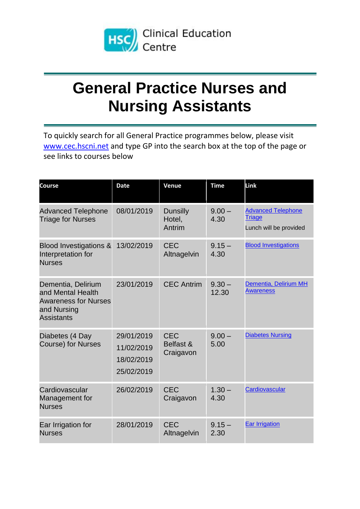

## **General Practice Nurses and Nursing Assistants**

To quickly search for all General Practice programmes below, please visit [www.cec.hscni.net](http://www.cec.hscni.net/) and type GP into the search box at the top of the page or see links to courses below

| <b>Course</b>                                                                                              | <b>Date</b>                                          | Venue                                | <b>Time</b>       | Link                                                                 |
|------------------------------------------------------------------------------------------------------------|------------------------------------------------------|--------------------------------------|-------------------|----------------------------------------------------------------------|
| <b>Advanced Telephone</b><br><b>Triage for Nurses</b>                                                      | 08/01/2019                                           | <b>Dunsilly</b><br>Hotel,<br>Antrim  | $9.00 -$<br>4.30  | <b>Advanced Telephone</b><br><b>Triage</b><br>Lunch will be provided |
| <b>Blood Investigations &amp;</b><br>Interpretation for<br><b>Nurses</b>                                   | 13/02/2019                                           | <b>CEC</b><br>Altnagelvin            | $9.15 -$<br>4.30  | <b>Blood Investigations</b>                                          |
| Dementia, Delirium<br>and Mental Health<br><b>Awareness for Nurses</b><br>and Nursing<br><b>Assistants</b> | 23/01/2019                                           | <b>CEC Antrim</b>                    | $9.30 -$<br>12.30 | Dementia, Delirium MH<br><b>Awareness</b>                            |
| Diabetes (4 Day<br><b>Course) for Nurses</b>                                                               | 29/01/2019<br>11/02/2019<br>18/02/2019<br>25/02/2019 | <b>CEC</b><br>Belfast &<br>Craigavon | $9.00 -$<br>5.00  | <b>Diabetes Nursing</b>                                              |
| Cardiovascular<br>Management for<br><b>Nurses</b>                                                          | 26/02/2019                                           | <b>CEC</b><br>Craigavon              | $1.30 -$<br>4.30  | Cardiovascular                                                       |
| Ear Irrigation for<br><b>Nurses</b>                                                                        | 28/01/2019                                           | <b>CEC</b><br>Altnagelvin            | $9.15 -$<br>2.30  | <b>Ear Irrigation</b>                                                |